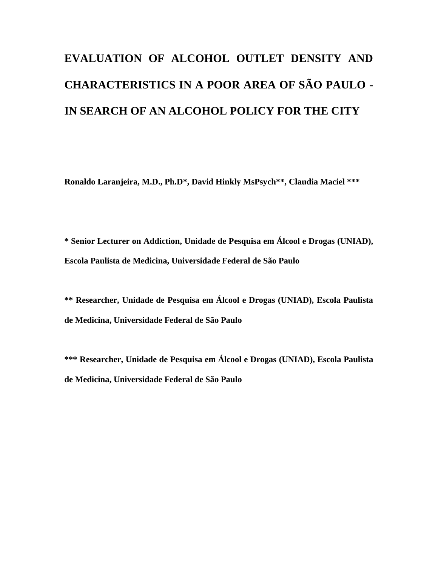# **EVALUATION OF ALCOHOL OUTLET DENSITY AND CHARACTERISTICS IN A POOR AREA OF SÃO PAULO - IN SEARCH OF AN ALCOHOL POLICY FOR THE CITY**

**Ronaldo Laranjeira, M.D., Ph.D\*, David Hinkly MsPsych\*\*, Claudia Maciel \*\*\***

**\* Senior Lecturer on Addiction, Unidade de Pesquisa em Álcool e Drogas (UNIAD), Escola Paulista de Medicina, Universidade Federal de São Paulo**

**\*\* Researcher, Unidade de Pesquisa em Álcool e Drogas (UNIAD), Escola Paulista de Medicina, Universidade Federal de São Paulo**

**\*\*\* Researcher, Unidade de Pesquisa em Álcool e Drogas (UNIAD), Escola Paulista de Medicina, Universidade Federal de São Paulo**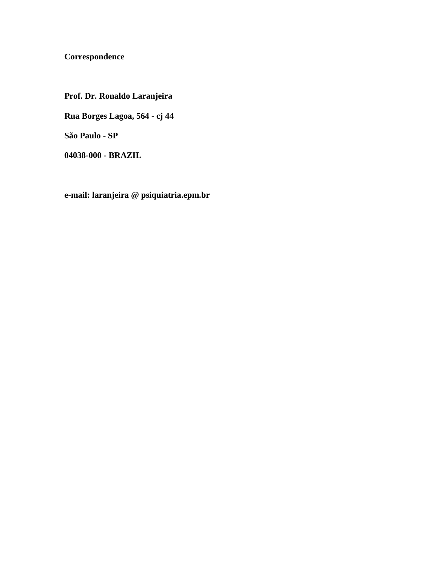### **Correspondence**

**Prof. Dr. Ronaldo Laranjeira Rua Borges Lagoa, 564 - cj 44 São Paulo - SP**

**04038-000 - BRAZIL**

**e-mail: laranjeira @ psiquiatria.epm.br**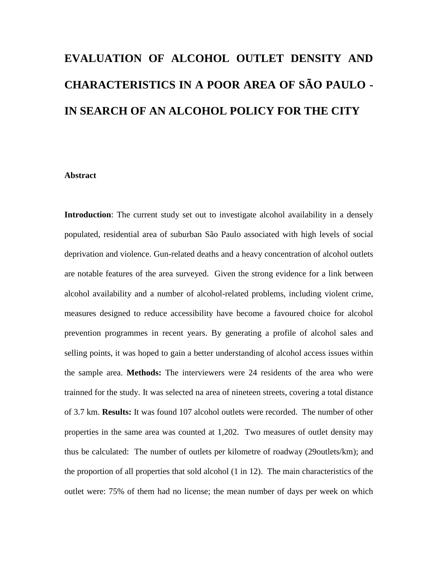# **EVALUATION OF ALCOHOL OUTLET DENSITY AND CHARACTERISTICS IN A POOR AREA OF SÃO PAULO - IN SEARCH OF AN ALCOHOL POLICY FOR THE CITY**

#### **Abstract**

**Introduction**: The current study set out to investigate alcohol availability in a densely populated, residential area of suburban São Paulo associated with high levels of social deprivation and violence. Gun-related deaths and a heavy concentration of alcohol outlets are notable features of the area surveyed. Given the strong evidence for a link between alcohol availability and a number of alcohol-related problems, including violent crime, measures designed to reduce accessibility have become a favoured choice for alcohol prevention programmes in recent years. By generating a profile of alcohol sales and selling points, it was hoped to gain a better understanding of alcohol access issues within the sample area. **Methods:** The interviewers were 24 residents of the area who were trainned for the study. It was selected na area of nineteen streets, covering a total distance of 3.7 km. **Results:** It was found 107 alcohol outlets were recorded. The number of other properties in the same area was counted at 1,202. Two measures of outlet density may thus be calculated: The number of outlets per kilometre of roadway (29outlets/km); and the proportion of all properties that sold alcohol (1 in 12). The main characteristics of the outlet were: 75% of them had no license; the mean number of days per week on which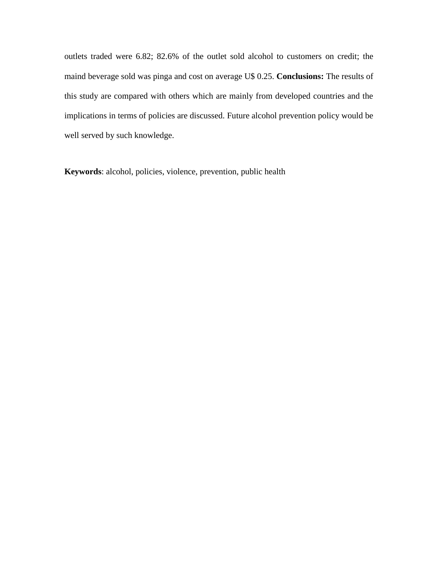outlets traded were 6.82; 82.6% of the outlet sold alcohol to customers on credit; the maind beverage sold was pinga and cost on average U\$ 0.25. **Conclusions:** The results of this study are compared with others which are mainly from developed countries and the implications in terms of policies are discussed. Future alcohol prevention policy would be well served by such knowledge.

**Keywords**: alcohol, policies, violence, prevention, public health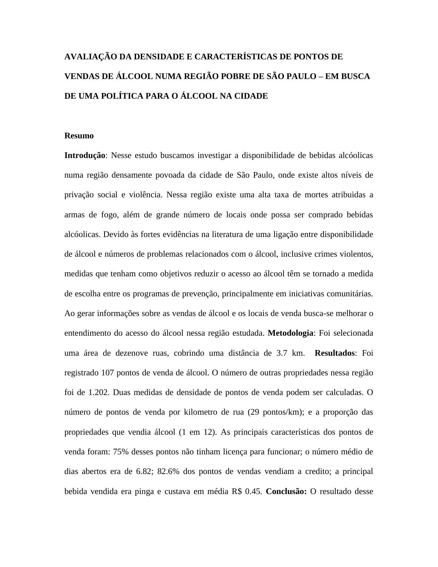### **AVALIAÇÃO DA DENSIDADE E CARACTERÍSTICAS DE PONTOS DE VENDAS DE ÁLCOOL NUMA REGIÃO POBRE DE SÃO PAULO – EM BUSCA DE UMA POLÍTICA PARA O ÁLCOOL NA CIDADE**

#### **Resumo**

**Introdução**: Nesse estudo buscamos investigar a disponibilidade de bebidas alcóolicas numa região densamente povoada da cidade de São Paulo, onde existe altos níveis de privação social e violência. Nessa região existe uma alta taxa de mortes atribuidas a armas de fogo, além de grande número de locais onde possa ser comprado bebidas alcóolicas. Devido às fortes evidências na literatura de uma ligação entre disponibilidade de álcool e números de problemas relacionados com o álcool, inclusive crimes violentos, medidas que tenham como objetivos reduzir o acesso ao álcool têm se tornado a medida de escolha entre os programas de prevenção, principalmente em iniciativas comunitárias. Ao gerar informações sobre as vendas de álcool e os locais de venda busca-se melhorar o entendimento do acesso do álcool nessa região estudada. **Metodologia**: Foi selecionada uma área de dezenove ruas, cobrindo uma distância de 3.7 km. **Resultados**: Foi registrado 107 pontos de venda de álcool. O número de outras propriedades nessa região foi de 1.202. Duas medidas de densidade de pontos de venda podem ser calculadas. O número de pontos de venda por kilometro de rua (29 pontos/km); e a proporção das propriedades que vendia álcool (1 em 12). As principais características dos pontos de venda foram: 75% desses pontos não tinham licença para funcionar; o número médio de dias abertos era de 6.82; 82.6% dos pontos de vendas vendiam a credito; a principal bebida vendida era pinga e custava em média R\$ 0.45. **Conclusão:** O resultado desse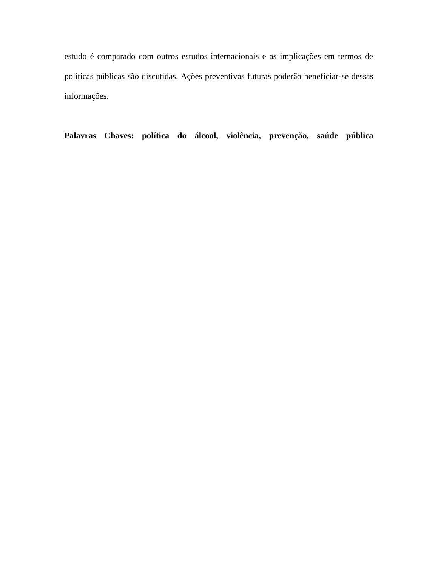estudo é comparado com outros estudos internacionais e as implicações em termos de políticas públicas são discutidas. Ações preventivas futuras poderão beneficiar-se dessas informações.

**Palavras Chaves: política do álcool, violência, prevenção, saúde pública**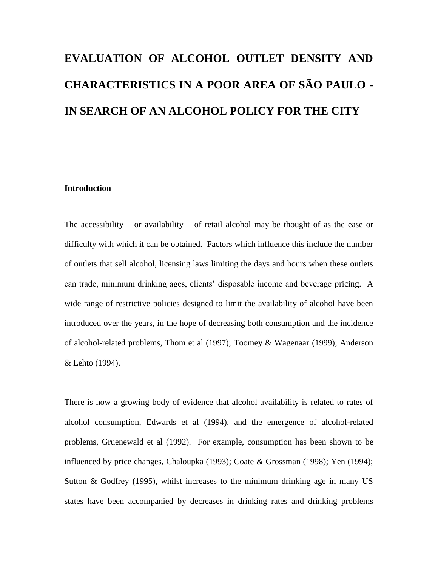# **EVALUATION OF ALCOHOL OUTLET DENSITY AND CHARACTERISTICS IN A POOR AREA OF SÃO PAULO - IN SEARCH OF AN ALCOHOL POLICY FOR THE CITY**

#### **Introduction**

The accessibility – or availability – of retail alcohol may be thought of as the ease or difficulty with which it can be obtained. Factors which influence this include the number of outlets that sell alcohol, licensing laws limiting the days and hours when these outlets can trade, minimum drinking ages, clients' disposable income and beverage pricing. A wide range of restrictive policies designed to limit the availability of alcohol have been introduced over the years, in the hope of decreasing both consumption and the incidence of alcohol-related problems, Thom et al (1997); Toomey & Wagenaar (1999); Anderson & Lehto (1994).

There is now a growing body of evidence that alcohol availability is related to rates of alcohol consumption, Edwards et al (1994), and the emergence of alcohol-related problems, Gruenewald et al (1992). For example, consumption has been shown to be influenced by price changes, Chaloupka (1993); Coate & Grossman (1998); Yen (1994); Sutton  $\&$  Godfrey (1995), whilst increases to the minimum drinking age in many US states have been accompanied by decreases in drinking rates and drinking problems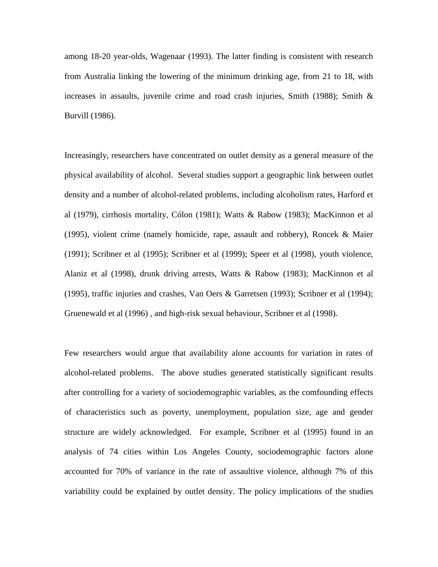among 18-20 year-olds, Wagenaar (1993). The latter finding is consistent with research from Australia linking the lowering of the minimum drinking age, from 21 to 18, with increases in assaults, juvenile crime and road crash injuries, Smith  $(1988)$ ; Smith  $\&$ Burvill (1986).

Increasingly, researchers have concentrated on outlet density as a general measure of the physical availability of alcohol. Several studies support a geographic link between outlet density and a number of alcohol-related problems, including alcoholism rates, Harford et al (1979), cirrhosis mortality, Cólon (1981); Watts & Rabow (1983); MacKinnon et al (1995), violent crime (namely homicide, rape, assault and robbery), Roncek & Maier (1991); Scribner et al (1995); Scribner et al (1999); Speer et al (1998), youth violence, Alaniz et al (1998), drunk driving arrests, Watts & Rabow (1983); MacKinnon et al (1995), traffic injuries and crashes, Van Oers & Garretsen (1993); Scribner et al (1994); Gruenewald et al (1996) , and high-risk sexual behaviour, Scribner et al (1998).

Few researchers would argue that availability alone accounts for variation in rates of alcohol-related problems. The above studies generated statistically significant results after controlling for a variety of sociodemographic variables, as the comfounding effects of characteristics such as poverty, unemployment, population size, age and gender structure are widely acknowledged. For example, Scribner et al (1995) found in an analysis of 74 cities within Los Angeles County, sociodemographic factors alone accounted for 70% of variance in the rate of assaultive violence, although 7% of this variability could be explained by outlet density. The policy implications of the studies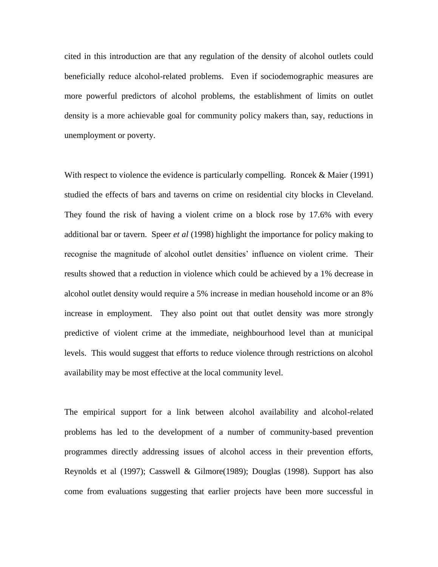cited in this introduction are that any regulation of the density of alcohol outlets could beneficially reduce alcohol-related problems. Even if sociodemographic measures are more powerful predictors of alcohol problems, the establishment of limits on outlet density is a more achievable goal for community policy makers than, say, reductions in unemployment or poverty.

With respect to violence the evidence is particularly compelling. Roncek & Maier (1991) studied the effects of bars and taverns on crime on residential city blocks in Cleveland. They found the risk of having a violent crime on a block rose by 17.6% with every additional bar or tavern. Speer *et al* (1998) highlight the importance for policy making to recognise the magnitude of alcohol outlet densities' influence on violent crime. Their results showed that a reduction in violence which could be achieved by a 1% decrease in alcohol outlet density would require a 5% increase in median household income or an 8% increase in employment. They also point out that outlet density was more strongly predictive of violent crime at the immediate, neighbourhood level than at municipal levels. This would suggest that efforts to reduce violence through restrictions on alcohol availability may be most effective at the local community level.

The empirical support for a link between alcohol availability and alcohol-related problems has led to the development of a number of community-based prevention programmes directly addressing issues of alcohol access in their prevention efforts, Reynolds et al (1997); Casswell & Gilmore(1989); Douglas (1998). Support has also come from evaluations suggesting that earlier projects have been more successful in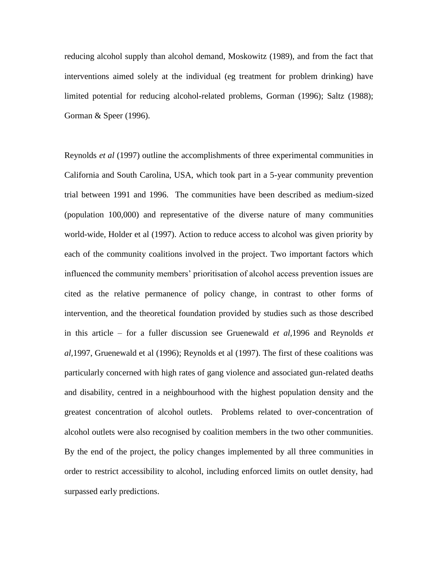reducing alcohol supply than alcohol demand, Moskowitz (1989), and from the fact that interventions aimed solely at the individual (eg treatment for problem drinking) have limited potential for reducing alcohol-related problems, Gorman (1996); Saltz (1988); Gorman & Speer (1996).

Reynolds *et al* (1997) outline the accomplishments of three experimental communities in California and South Carolina, USA, which took part in a 5-year community prevention trial between 1991 and 1996. The communities have been described as medium-sized (population 100,000) and representative of the diverse nature of many communities world-wide, Holder et al (1997). Action to reduce access to alcohol was given priority by each of the community coalitions involved in the project. Two important factors which influenced the community members' prioritisation of alcohol access prevention issues are cited as the relative permanence of policy change, in contrast to other forms of intervention, and the theoretical foundation provided by studies such as those described in this article – for a fuller discussion see Gruenewald *et al,*1996 and Reynolds *et al,*1997, Gruenewald et al (1996); Reynolds et al (1997). The first of these coalitions was particularly concerned with high rates of gang violence and associated gun-related deaths and disability, centred in a neighbourhood with the highest population density and the greatest concentration of alcohol outlets. Problems related to over-concentration of alcohol outlets were also recognised by coalition members in the two other communities. By the end of the project, the policy changes implemented by all three communities in order to restrict accessibility to alcohol, including enforced limits on outlet density, had surpassed early predictions.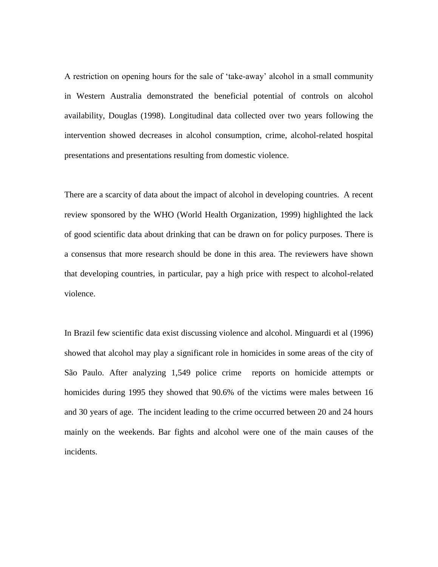A restriction on opening hours for the sale of 'take-away' alcohol in a small community in Western Australia demonstrated the beneficial potential of controls on alcohol availability, Douglas (1998). Longitudinal data collected over two years following the intervention showed decreases in alcohol consumption, crime, alcohol-related hospital presentations and presentations resulting from domestic violence.

There are a scarcity of data about the impact of alcohol in developing countries. A recent review sponsored by the WHO (World Health Organization, 1999) highlighted the lack of good scientific data about drinking that can be drawn on for policy purposes. There is a consensus that more research should be done in this area. The reviewers have shown that developing countries, in particular, pay a high price with respect to alcohol-related violence.

In Brazil few scientific data exist discussing violence and alcohol. Minguardi et al (1996) showed that alcohol may play a significant role in homicides in some areas of the city of São Paulo. After analyzing 1,549 police crime reports on homicide attempts or homicides during 1995 they showed that 90.6% of the victims were males between 16 and 30 years of age. The incident leading to the crime occurred between 20 and 24 hours mainly on the weekends. Bar fights and alcohol were one of the main causes of the incidents.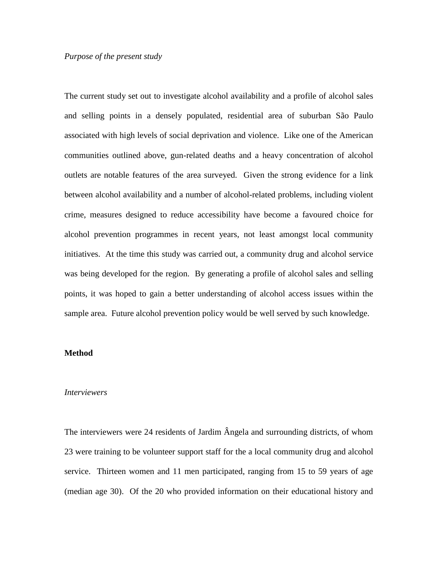#### *Purpose of the present study*

The current study set out to investigate alcohol availability and a profile of alcohol sales and selling points in a densely populated, residential area of suburban São Paulo associated with high levels of social deprivation and violence. Like one of the American communities outlined above, gun-related deaths and a heavy concentration of alcohol outlets are notable features of the area surveyed. Given the strong evidence for a link between alcohol availability and a number of alcohol-related problems, including violent crime, measures designed to reduce accessibility have become a favoured choice for alcohol prevention programmes in recent years, not least amongst local community initiatives. At the time this study was carried out, a community drug and alcohol service was being developed for the region. By generating a profile of alcohol sales and selling points, it was hoped to gain a better understanding of alcohol access issues within the sample area. Future alcohol prevention policy would be well served by such knowledge.

#### **Method**

#### *Interviewers*

The interviewers were 24 residents of Jardim Ângela and surrounding districts, of whom 23 were training to be volunteer support staff for the a local community drug and alcohol service. Thirteen women and 11 men participated, ranging from 15 to 59 years of age (median age 30). Of the 20 who provided information on their educational history and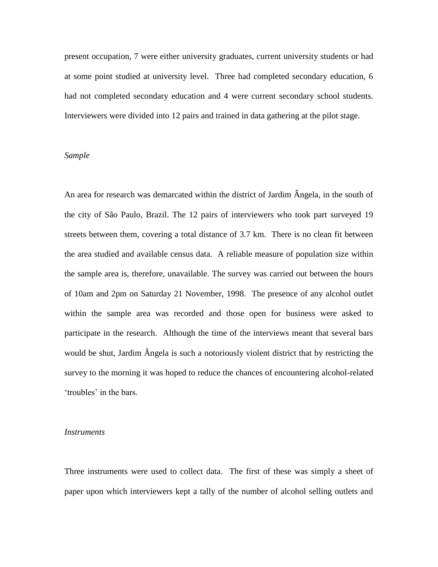present occupation, 7 were either university graduates, current university students or had at some point studied at university level. Three had completed secondary education, 6 had not completed secondary education and 4 were current secondary school students. Interviewers were divided into 12 pairs and trained in data gathering at the pilot stage.

#### *Sample*

An area for research was demarcated within the district of Jardim Ângela, in the south of the city of São Paulo, Brazil. The 12 pairs of interviewers who took part surveyed 19 streets between them, covering a total distance of 3.7 km. There is no clean fit between the area studied and available census data. A reliable measure of population size within the sample area is, therefore, unavailable. The survey was carried out between the hours of 10am and 2pm on Saturday 21 November, 1998. The presence of any alcohol outlet within the sample area was recorded and those open for business were asked to participate in the research. Although the time of the interviews meant that several bars would be shut, Jardim Ângela is such a notoriously violent district that by restricting the survey to the morning it was hoped to reduce the chances of encountering alcohol-related 'troubles' in the bars.

#### *Instruments*

Three instruments were used to collect data. The first of these was simply a sheet of paper upon which interviewers kept a tally of the number of alcohol selling outlets and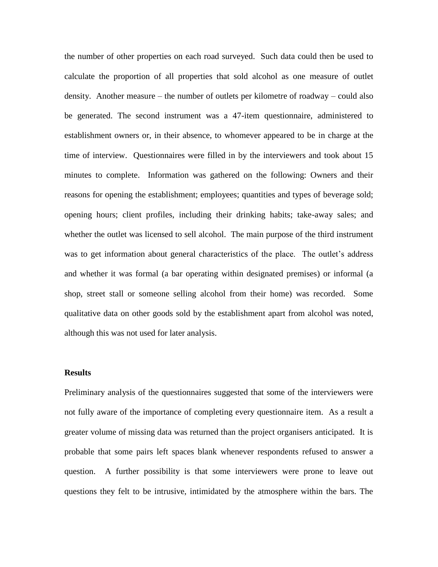the number of other properties on each road surveyed. Such data could then be used to calculate the proportion of all properties that sold alcohol as one measure of outlet density. Another measure – the number of outlets per kilometre of roadway – could also be generated. The second instrument was a 47-item questionnaire, administered to establishment owners or, in their absence, to whomever appeared to be in charge at the time of interview. Questionnaires were filled in by the interviewers and took about 15 minutes to complete. Information was gathered on the following: Owners and their reasons for opening the establishment; employees; quantities and types of beverage sold; opening hours; client profiles, including their drinking habits; take-away sales; and whether the outlet was licensed to sell alcohol. The main purpose of the third instrument was to get information about general characteristics of the place. The outlet's address and whether it was formal (a bar operating within designated premises) or informal (a shop, street stall or someone selling alcohol from their home) was recorded. Some qualitative data on other goods sold by the establishment apart from alcohol was noted, although this was not used for later analysis.

#### **Results**

Preliminary analysis of the questionnaires suggested that some of the interviewers were not fully aware of the importance of completing every questionnaire item. As a result a greater volume of missing data was returned than the project organisers anticipated. It is probable that some pairs left spaces blank whenever respondents refused to answer a question. A further possibility is that some interviewers were prone to leave out questions they felt to be intrusive, intimidated by the atmosphere within the bars. The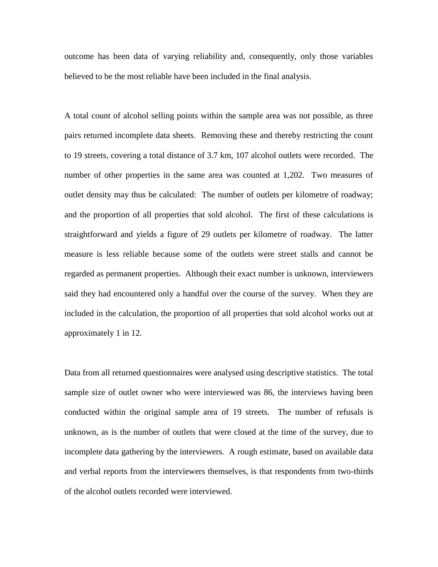outcome has been data of varying reliability and, consequently, only those variables believed to be the most reliable have been included in the final analysis.

A total count of alcohol selling points within the sample area was not possible, as three pairs returned incomplete data sheets. Removing these and thereby restricting the count to 19 streets, covering a total distance of 3.7 km, 107 alcohol outlets were recorded. The number of other properties in the same area was counted at 1,202. Two measures of outlet density may thus be calculated: The number of outlets per kilometre of roadway; and the proportion of all properties that sold alcohol. The first of these calculations is straightforward and yields a figure of 29 outlets per kilometre of roadway. The latter measure is less reliable because some of the outlets were street stalls and cannot be regarded as permanent properties. Although their exact number is unknown, interviewers said they had encountered only a handful over the course of the survey. When they are included in the calculation, the proportion of all properties that sold alcohol works out at approximately 1 in 12.

Data from all returned questionnaires were analysed using descriptive statistics. The total sample size of outlet owner who were interviewed was 86, the interviews having been conducted within the original sample area of 19 streets. The number of refusals is unknown, as is the number of outlets that were closed at the time of the survey, due to incomplete data gathering by the interviewers. A rough estimate, based on available data and verbal reports from the interviewers themselves, is that respondents from two-thirds of the alcohol outlets recorded were interviewed.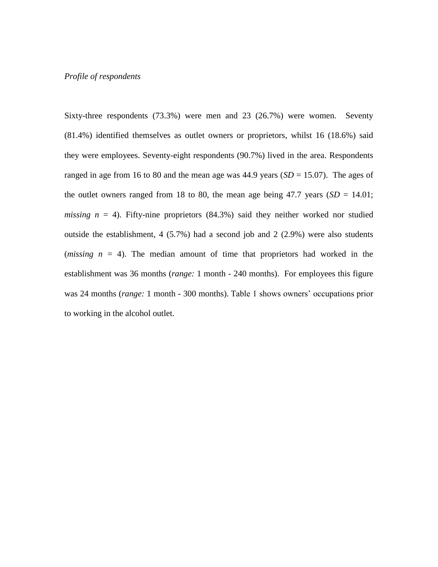#### *Profile of respondents*

Sixty-three respondents (73.3%) were men and 23 (26.7%) were women. Seventy (81.4%) identified themselves as outlet owners or proprietors, whilst 16 (18.6%) said they were employees. Seventy-eight respondents (90.7%) lived in the area. Respondents ranged in age from 16 to 80 and the mean age was  $44.9$  years  $(SD = 15.07)$ . The ages of the outlet owners ranged from 18 to 80, the mean age being 47.7 years  $(SD = 14.01;$ *missing*  $n = 4$ ). Fifty-nine proprietors (84.3%) said they neither worked nor studied outside the establishment, 4 (5.7%) had a second job and 2 (2.9%) were also students (*missing n* = 4). The median amount of time that proprietors had worked in the establishment was 36 months (*range:* 1 month - 240 months). For employees this figure was 24 months (*range:* 1 month - 300 months). Table 1 shows owners' occupations prior to working in the alcohol outlet.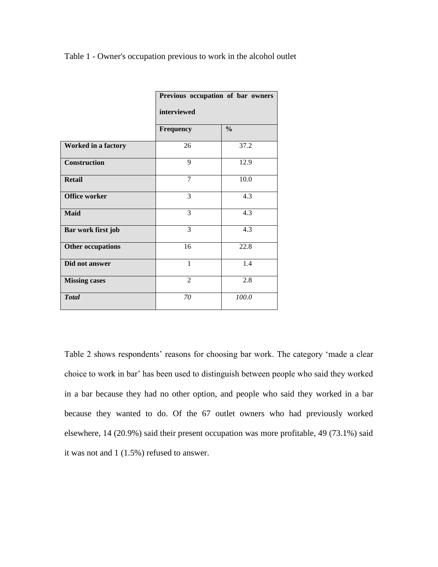Table 1 - Owner's occupation previous to work in the alcohol outlet

|                          | Previous occupation of bar owners<br>interviewed |               |  |
|--------------------------|--------------------------------------------------|---------------|--|
|                          |                                                  |               |  |
|                          | Frequency                                        | $\frac{0}{0}$ |  |
| Worked in a factory      | 26                                               | 37.2          |  |
| Construction             | 9                                                | 12.9          |  |
| <b>Retail</b>            | 7                                                | 10.0          |  |
| <b>Office worker</b>     | 3                                                | 4.3           |  |
| <b>Maid</b>              | 3                                                | 4.3           |  |
| Bar work first job       | 3                                                | 4.3           |  |
| <b>Other occupations</b> | 16                                               | 22.8          |  |
| Did not answer           | 1                                                | 1.4           |  |
| <b>Missing cases</b>     | $\mathfrak{D}$                                   | 2.8           |  |
| <b>Total</b>             | 70                                               | 100.0         |  |

Table 2 shows respondents' reasons for choosing bar work. The category 'made a clear choice to work in bar' has been used to distinguish between people who said they worked in a bar because they had no other option, and people who said they worked in a bar because they wanted to do. Of the 67 outlet owners who had previously worked elsewhere, 14 (20.9%) said their present occupation was more profitable, 49 (73.1%) said it was not and 1 (1.5%) refused to answer.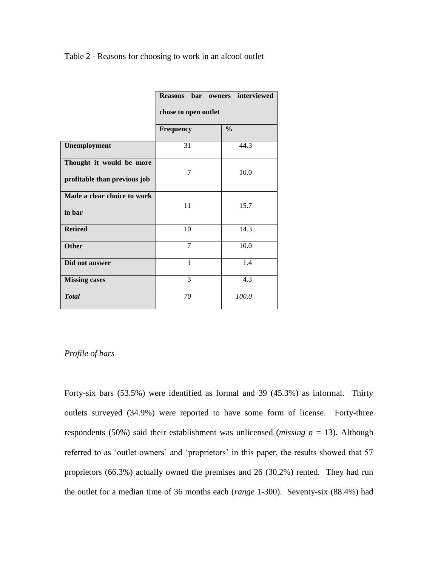Table 2 - Reasons for choosing to work in an alcool outlet

|                                                          | Reasons bar owners interviewed |               |
|----------------------------------------------------------|--------------------------------|---------------|
|                                                          | chose to open outlet           |               |
|                                                          | <b>Frequency</b>               | $\frac{0}{0}$ |
| Unemployment                                             | 31                             | 44.3          |
| Thought it would be more<br>profitable than previous job | 7                              | 10.0          |
| Made a clear choice to work<br>in bar                    | 11                             | 15.7          |
| <b>Retired</b>                                           | 10                             | 14.3          |
| <b>Other</b>                                             | 7                              | 10.0          |
| Did not answer                                           | 1                              | 1.4           |
| <b>Missing cases</b>                                     | 3                              | 4.3           |
| <b>Total</b>                                             | 70                             | 100.0         |

#### *Profile of bars*

Forty-six bars (53.5%) were identified as formal and 39 (45.3%) as informal. Thirty outlets surveyed (34.9%) were reported to have some form of license. Forty-three respondents (50%) said their establishment was unlicensed (*missing n* = 13). Although referred to as 'outlet owners' and 'proprietors' in this paper, the results showed that 57 proprietors (66.3%) actually owned the premises and 26 (30.2%) rented. They had run the outlet for a median time of 36 months each (*range* 1-300). Seventy-six (88.4%) had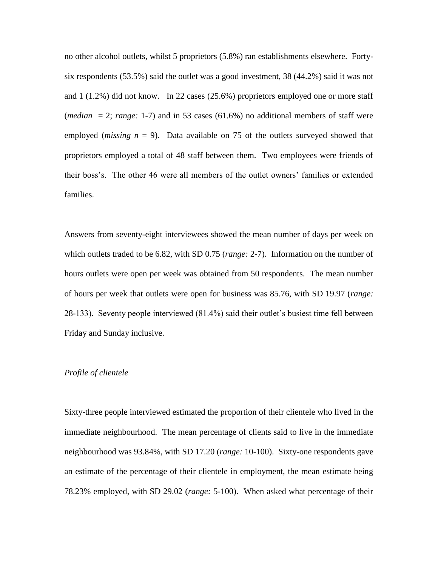no other alcohol outlets, whilst 5 proprietors (5.8%) ran establishments elsewhere. Fortysix respondents (53.5%) said the outlet was a good investment, 38 (44.2%) said it was not and 1 (1.2%) did not know. In 22 cases (25.6%) proprietors employed one or more staff (*median*  $= 2$ ; *range*: 1-7) and in 53 cases (61.6%) no additional members of staff were employed (*missing n* = 9). Data available on 75 of the outlets surveyed showed that proprietors employed a total of 48 staff between them. Two employees were friends of their boss's. The other 46 were all members of the outlet owners' families or extended families.

Answers from seventy-eight interviewees showed the mean number of days per week on which outlets traded to be 6.82, with SD 0.75 (*range:* 2-7). Information on the number of hours outlets were open per week was obtained from 50 respondents. The mean number of hours per week that outlets were open for business was 85.76, with SD 19.97 (*range:* 28-133). Seventy people interviewed (81.4%) said their outlet's busiest time fell between Friday and Sunday inclusive.

#### *Profile of clientele*

Sixty-three people interviewed estimated the proportion of their clientele who lived in the immediate neighbourhood. The mean percentage of clients said to live in the immediate neighbourhood was 93.84%, with SD 17.20 (*range:* 10-100). Sixty-one respondents gave an estimate of the percentage of their clientele in employment, the mean estimate being 78.23% employed, with SD 29.02 (*range:* 5-100). When asked what percentage of their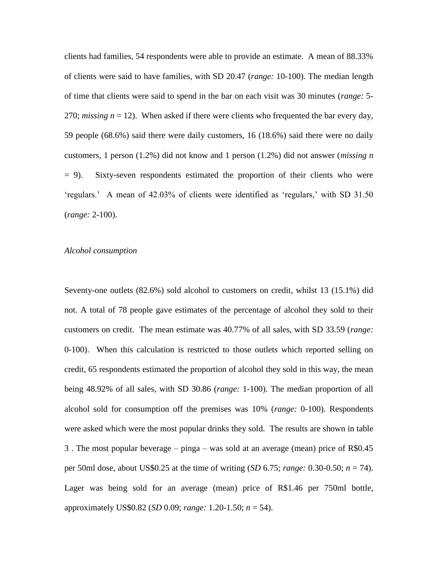clients had families, 54 respondents were able to provide an estimate. A mean of 88.33% of clients were said to have families, with SD 20.47 (*range:* 10-100). The median length of time that clients were said to spend in the bar on each visit was 30 minutes (*range:* 5- 270; *missing n* = 12). When asked if there were clients who frequented the bar every day, 59 people (68.6%) said there were daily customers, 16 (18.6%) said there were no daily customers, 1 person (1.2%) did not know and 1 person (1.2%) did not answer (*missing n*  $= 9$ ). Sixty-seven respondents estimated the proportion of their clients who were 'regulars.' A mean of 42.03% of clients were identified as 'regulars,' with SD 31.50 (*range:* 2-100).

#### *Alcohol consumption*

Seventy-one outlets (82.6%) sold alcohol to customers on credit, whilst 13 (15.1%) did not. A total of 78 people gave estimates of the percentage of alcohol they sold to their customers on credit. The mean estimate was 40.77% of all sales, with SD 33.59 (*range:* 0-100). When this calculation is restricted to those outlets which reported selling on credit, 65 respondents estimated the proportion of alcohol they sold in this way, the mean being 48.92% of all sales, with SD 30.86 (*range:* 1-100). The median proportion of all alcohol sold for consumption off the premises was 10% (*range:* 0-100). Respondents were asked which were the most popular drinks they sold. The results are shown in table 3 . The most popular beverage – pinga – was sold at an average (mean) price of R\$0.45 per 50ml dose, about US\$0.25 at the time of writing (*SD* 6.75; *range:* 0.30-0.50; *n* = 74). Lager was being sold for an average (mean) price of R\$1.46 per 750ml bottle, approximately US\$0.82 (*SD* 0.09; *range:* 1.20-1.50; *n* = 54).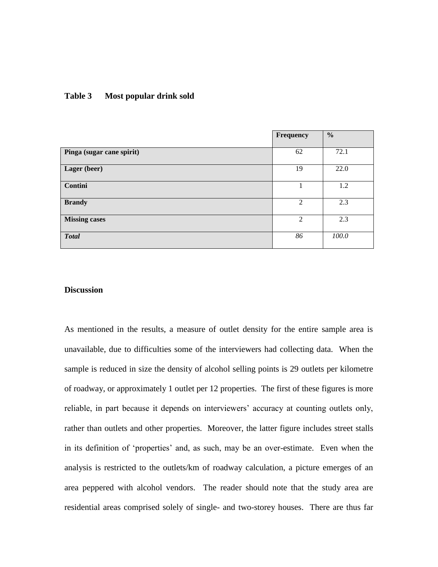#### **Table 3 Most popular drink sold**

|                           | <b>Frequency</b> | $\frac{0}{0}$ |
|---------------------------|------------------|---------------|
| Pinga (sugar cane spirit) | 62               | 72.1          |
| Lager (beer)              | 19               | 22.0          |
| Contini                   |                  | 1.2           |
| <b>Brandy</b>             | 2                | 2.3           |
| <b>Missing cases</b>      | $\overline{2}$   | 2.3           |
| <b>Total</b>              | 86               | 100.0         |

#### **Discussion**

As mentioned in the results, a measure of outlet density for the entire sample area is unavailable, due to difficulties some of the interviewers had collecting data. When the sample is reduced in size the density of alcohol selling points is 29 outlets per kilometre of roadway, or approximately 1 outlet per 12 properties. The first of these figures is more reliable, in part because it depends on interviewers' accuracy at counting outlets only, rather than outlets and other properties. Moreover, the latter figure includes street stalls in its definition of 'properties' and, as such, may be an over-estimate. Even when the analysis is restricted to the outlets/km of roadway calculation, a picture emerges of an area peppered with alcohol vendors. The reader should note that the study area are residential areas comprised solely of single- and two-storey houses. There are thus far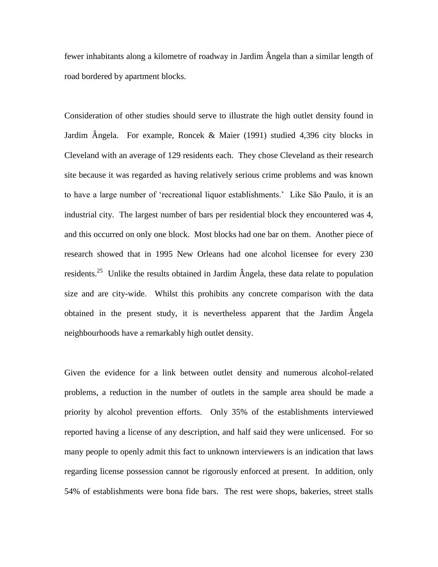fewer inhabitants along a kilometre of roadway in Jardim Ângela than a similar length of road bordered by apartment blocks.

Consideration of other studies should serve to illustrate the high outlet density found in Jardim Ângela. For example, Roncek & Maier (1991) studied 4,396 city blocks in Cleveland with an average of 129 residents each. They chose Cleveland as their research site because it was regarded as having relatively serious crime problems and was known to have a large number of 'recreational liquor establishments.' Like São Paulo, it is an industrial city. The largest number of bars per residential block they encountered was 4, and this occurred on only one block. Most blocks had one bar on them. Another piece of research showed that in 1995 New Orleans had one alcohol licensee for every 230 residents.<sup>25</sup> Unlike the results obtained in Jardim  $\hat{A}$ ngela, these data relate to population size and are city-wide. Whilst this prohibits any concrete comparison with the data obtained in the present study, it is nevertheless apparent that the Jardim Ângela neighbourhoods have a remarkably high outlet density.

Given the evidence for a link between outlet density and numerous alcohol-related problems, a reduction in the number of outlets in the sample area should be made a priority by alcohol prevention efforts. Only 35% of the establishments interviewed reported having a license of any description, and half said they were unlicensed. For so many people to openly admit this fact to unknown interviewers is an indication that laws regarding license possession cannot be rigorously enforced at present. In addition, only 54% of establishments were bona fide bars. The rest were shops, bakeries, street stalls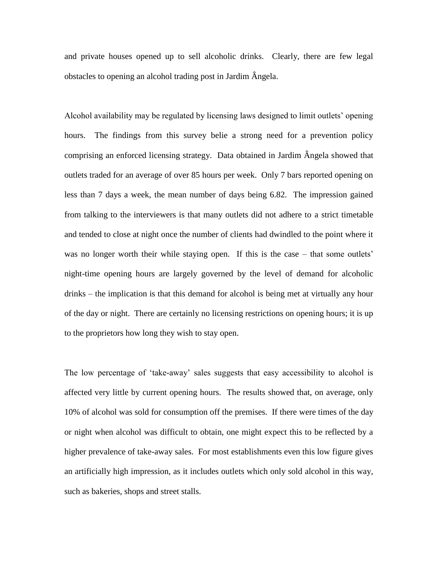and private houses opened up to sell alcoholic drinks. Clearly, there are few legal obstacles to opening an alcohol trading post in Jardim Ângela.

Alcohol availability may be regulated by licensing laws designed to limit outlets' opening hours. The findings from this survey belie a strong need for a prevention policy comprising an enforced licensing strategy. Data obtained in Jardim Ângela showed that outlets traded for an average of over 85 hours per week. Only 7 bars reported opening on less than 7 days a week, the mean number of days being 6.82. The impression gained from talking to the interviewers is that many outlets did not adhere to a strict timetable and tended to close at night once the number of clients had dwindled to the point where it was no longer worth their while staying open. If this is the case – that some outlets' night-time opening hours are largely governed by the level of demand for alcoholic drinks – the implication is that this demand for alcohol is being met at virtually any hour of the day or night. There are certainly no licensing restrictions on opening hours; it is up to the proprietors how long they wish to stay open.

The low percentage of 'take-away' sales suggests that easy accessibility to alcohol is affected very little by current opening hours. The results showed that, on average, only 10% of alcohol was sold for consumption off the premises. If there were times of the day or night when alcohol was difficult to obtain, one might expect this to be reflected by a higher prevalence of take-away sales. For most establishments even this low figure gives an artificially high impression, as it includes outlets which only sold alcohol in this way, such as bakeries, shops and street stalls.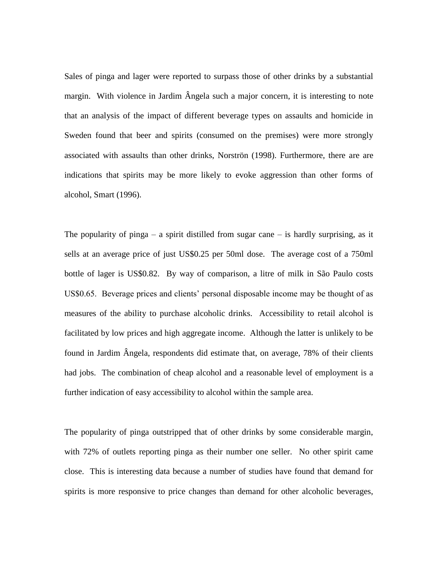Sales of pinga and lager were reported to surpass those of other drinks by a substantial margin. With violence in Jardim Ângela such a major concern, it is interesting to note that an analysis of the impact of different beverage types on assaults and homicide in Sweden found that beer and spirits (consumed on the premises) were more strongly associated with assaults than other drinks, Norströn (1998). Furthermore, there are are indications that spirits may be more likely to evoke aggression than other forms of alcohol, Smart (1996).

The popularity of pinga  $-$  a spirit distilled from sugar cane  $-$  is hardly surprising, as it sells at an average price of just US\$0.25 per 50ml dose. The average cost of a 750ml bottle of lager is US\$0.82. By way of comparison, a litre of milk in São Paulo costs US\$0.65. Beverage prices and clients' personal disposable income may be thought of as measures of the ability to purchase alcoholic drinks. Accessibility to retail alcohol is facilitated by low prices and high aggregate income. Although the latter is unlikely to be found in Jardim Ângela, respondents did estimate that, on average, 78% of their clients had jobs. The combination of cheap alcohol and a reasonable level of employment is a further indication of easy accessibility to alcohol within the sample area.

The popularity of pinga outstripped that of other drinks by some considerable margin, with 72% of outlets reporting pinga as their number one seller. No other spirit came close. This is interesting data because a number of studies have found that demand for spirits is more responsive to price changes than demand for other alcoholic beverages,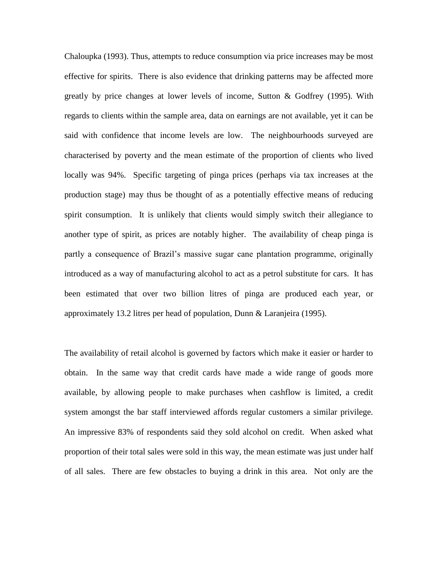Chaloupka (1993). Thus, attempts to reduce consumption via price increases may be most effective for spirits. There is also evidence that drinking patterns may be affected more greatly by price changes at lower levels of income, Sutton & Godfrey (1995). With regards to clients within the sample area, data on earnings are not available, yet it can be said with confidence that income levels are low. The neighbourhoods surveyed are characterised by poverty and the mean estimate of the proportion of clients who lived locally was 94%. Specific targeting of pinga prices (perhaps via tax increases at the production stage) may thus be thought of as a potentially effective means of reducing spirit consumption. It is unlikely that clients would simply switch their allegiance to another type of spirit, as prices are notably higher. The availability of cheap pinga is partly a consequence of Brazil's massive sugar cane plantation programme, originally introduced as a way of manufacturing alcohol to act as a petrol substitute for cars. It has been estimated that over two billion litres of pinga are produced each year, or approximately 13.2 litres per head of population, Dunn & Laranjeira (1995).

The availability of retail alcohol is governed by factors which make it easier or harder to obtain. In the same way that credit cards have made a wide range of goods more available, by allowing people to make purchases when cashflow is limited, a credit system amongst the bar staff interviewed affords regular customers a similar privilege. An impressive 83% of respondents said they sold alcohol on credit. When asked what proportion of their total sales were sold in this way, the mean estimate was just under half of all sales. There are few obstacles to buying a drink in this area. Not only are the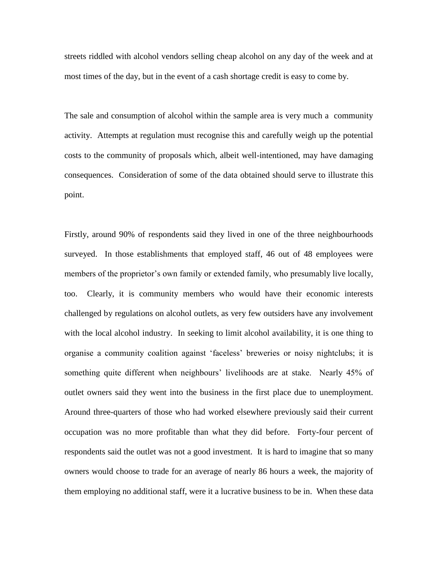streets riddled with alcohol vendors selling cheap alcohol on any day of the week and at most times of the day, but in the event of a cash shortage credit is easy to come by.

The sale and consumption of alcohol within the sample area is very much a community activity. Attempts at regulation must recognise this and carefully weigh up the potential costs to the community of proposals which, albeit well-intentioned, may have damaging consequences. Consideration of some of the data obtained should serve to illustrate this point.

Firstly, around 90% of respondents said they lived in one of the three neighbourhoods surveyed. In those establishments that employed staff, 46 out of 48 employees were members of the proprietor's own family or extended family, who presumably live locally, too. Clearly, it is community members who would have their economic interests challenged by regulations on alcohol outlets, as very few outsiders have any involvement with the local alcohol industry. In seeking to limit alcohol availability, it is one thing to organise a community coalition against 'faceless' breweries or noisy nightclubs; it is something quite different when neighbours' livelihoods are at stake. Nearly 45% of outlet owners said they went into the business in the first place due to unemployment. Around three-quarters of those who had worked elsewhere previously said their current occupation was no more profitable than what they did before. Forty-four percent of respondents said the outlet was not a good investment. It is hard to imagine that so many owners would choose to trade for an average of nearly 86 hours a week, the majority of them employing no additional staff, were it a lucrative business to be in. When these data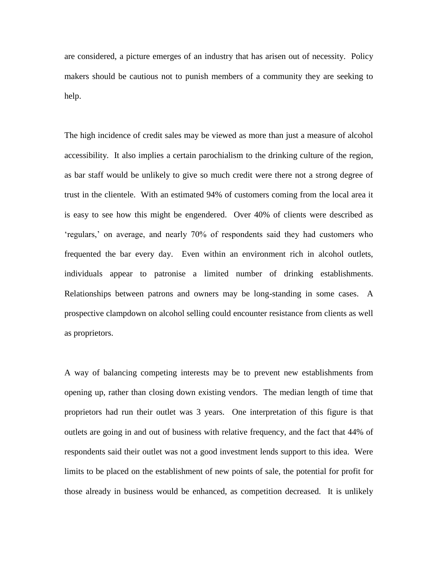are considered, a picture emerges of an industry that has arisen out of necessity. Policy makers should be cautious not to punish members of a community they are seeking to help.

The high incidence of credit sales may be viewed as more than just a measure of alcohol accessibility. It also implies a certain parochialism to the drinking culture of the region, as bar staff would be unlikely to give so much credit were there not a strong degree of trust in the clientele. With an estimated 94% of customers coming from the local area it is easy to see how this might be engendered. Over 40% of clients were described as 'regulars,' on average, and nearly 70% of respondents said they had customers who frequented the bar every day. Even within an environment rich in alcohol outlets, individuals appear to patronise a limited number of drinking establishments. Relationships between patrons and owners may be long-standing in some cases. A prospective clampdown on alcohol selling could encounter resistance from clients as well as proprietors.

A way of balancing competing interests may be to prevent new establishments from opening up, rather than closing down existing vendors. The median length of time that proprietors had run their outlet was 3 years. One interpretation of this figure is that outlets are going in and out of business with relative frequency, and the fact that 44% of respondents said their outlet was not a good investment lends support to this idea. Were limits to be placed on the establishment of new points of sale, the potential for profit for those already in business would be enhanced, as competition decreased. It is unlikely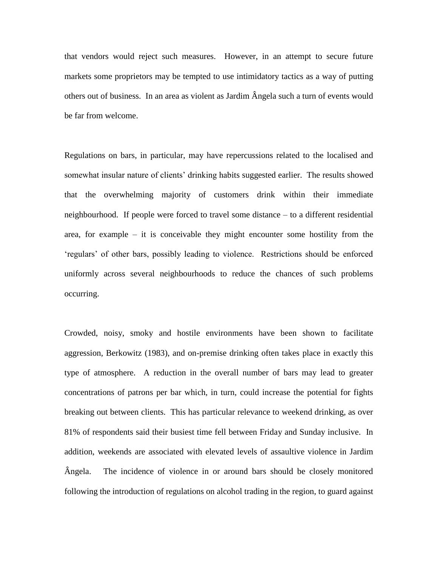that vendors would reject such measures. However, in an attempt to secure future markets some proprietors may be tempted to use intimidatory tactics as a way of putting others out of business. In an area as violent as Jardim Ângela such a turn of events would be far from welcome.

Regulations on bars, in particular, may have repercussions related to the localised and somewhat insular nature of clients' drinking habits suggested earlier. The results showed that the overwhelming majority of customers drink within their immediate neighbourhood. If people were forced to travel some distance – to a different residential area, for example – it is conceivable they might encounter some hostility from the 'regulars' of other bars, possibly leading to violence. Restrictions should be enforced uniformly across several neighbourhoods to reduce the chances of such problems occurring.

Crowded, noisy, smoky and hostile environments have been shown to facilitate aggression, Berkowitz (1983), and on-premise drinking often takes place in exactly this type of atmosphere. A reduction in the overall number of bars may lead to greater concentrations of patrons per bar which, in turn, could increase the potential for fights breaking out between clients. This has particular relevance to weekend drinking, as over 81% of respondents said their busiest time fell between Friday and Sunday inclusive. In addition, weekends are associated with elevated levels of assaultive violence in Jardim Ângela. The incidence of violence in or around bars should be closely monitored following the introduction of regulations on alcohol trading in the region, to guard against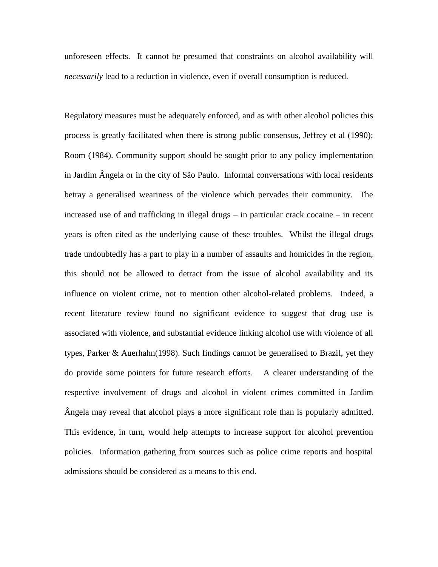unforeseen effects. It cannot be presumed that constraints on alcohol availability will *necessarily* lead to a reduction in violence, even if overall consumption is reduced.

Regulatory measures must be adequately enforced, and as with other alcohol policies this process is greatly facilitated when there is strong public consensus, Jeffrey et al (1990); Room (1984). Community support should be sought prior to any policy implementation in Jardim Ângela or in the city of São Paulo. Informal conversations with local residents betray a generalised weariness of the violence which pervades their community. The increased use of and trafficking in illegal drugs – in particular crack cocaine – in recent years is often cited as the underlying cause of these troubles. Whilst the illegal drugs trade undoubtedly has a part to play in a number of assaults and homicides in the region, this should not be allowed to detract from the issue of alcohol availability and its influence on violent crime, not to mention other alcohol-related problems. Indeed, a recent literature review found no significant evidence to suggest that drug use is associated with violence, and substantial evidence linking alcohol use with violence of all types, Parker & Auerhahn(1998). Such findings cannot be generalised to Brazil, yet they do provide some pointers for future research efforts. A clearer understanding of the respective involvement of drugs and alcohol in violent crimes committed in Jardim Ângela may reveal that alcohol plays a more significant role than is popularly admitted. This evidence, in turn, would help attempts to increase support for alcohol prevention policies. Information gathering from sources such as police crime reports and hospital admissions should be considered as a means to this end.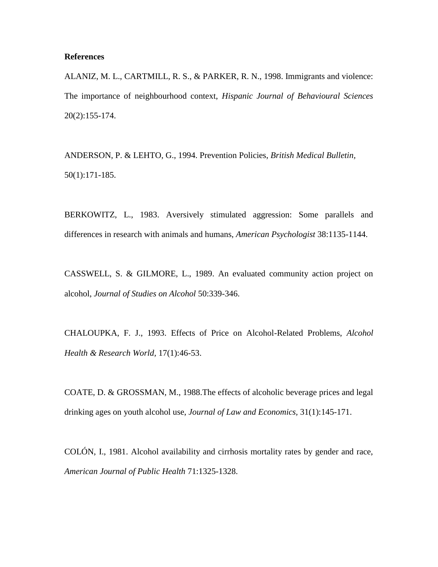#### **References**

ALANIZ, M. L., CARTMILL, R. S., & PARKER, R. N., 1998. Immigrants and violence: The importance of neighbourhood context, *Hispanic Journal of Behavioural Sciences*  20(2):155-174.

ANDERSON, P. & LEHTO, G., 1994. Prevention Policies, *British Medical Bulletin,*  50(1):171-185.

BERKOWITZ, L., 1983. Aversively stimulated aggression: Some parallels and differences in research with animals and humans, *American Psychologist* 38:1135-1144.

CASSWELL, S. & GILMORE, L., 1989. An evaluated community action project on alcohol, *Journal of Studies on Alcohol* 50:339-346.

CHALOUPKA, F. J., 1993. Effects of Price on Alcohol-Related Problems, *Alcohol Health & Research World,* 17(1):46-53.

COATE, D. & GROSSMAN, M., 1988.The effects of alcoholic beverage prices and legal drinking ages on youth alcohol use, *Journal of Law and Economics,* 31(1):145-171.

COLÓN, I., 1981. Alcohol availability and cirrhosis mortality rates by gender and race, *American Journal of Public Health* 71:1325-1328.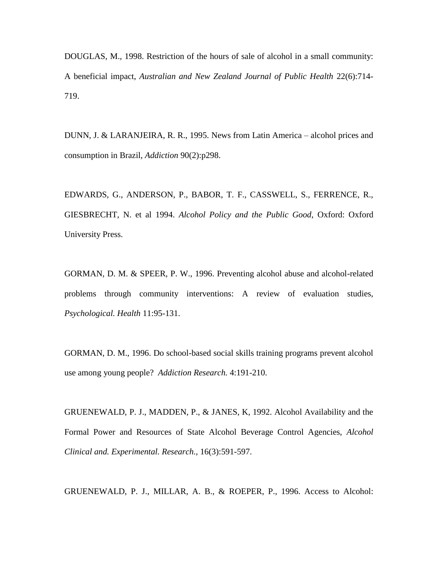DOUGLAS, M., 1998. Restriction of the hours of sale of alcohol in a small community: A beneficial impact, *Australian and New Zealand Journal of Public Health* 22(6):714- 719.

DUNN, J. & LARANJEIRA, R. R., 1995. News from Latin America – alcohol prices and consumption in Brazil, *Addiction* 90(2):p298.

EDWARDS, G., ANDERSON, P., BABOR, T. F., CASSWELL, S., FERRENCE, R., GIESBRECHT, N. et al 1994. *Alcohol Policy and the Public Good*, Oxford: Oxford University Press.

GORMAN, D. M. & SPEER, P. W., 1996. Preventing alcohol abuse and alcohol-related problems through community interventions: A review of evaluation studies, *Psychological. Health* 11:95-131.

GORMAN, D. M., 1996. Do school-based social skills training programs prevent alcohol use among young people? *Addiction Research.* 4:191-210.

GRUENEWALD, P. J., MADDEN, P., & JANES, K, 1992. Alcohol Availability and the Formal Power and Resources of State Alcohol Beverage Control Agencies, *Alcohol Clinical and. Experimental. Research.,* 16(3):591-597.

GRUENEWALD, P. J., MILLAR, A. B., & ROEPER, P., 1996. Access to Alcohol: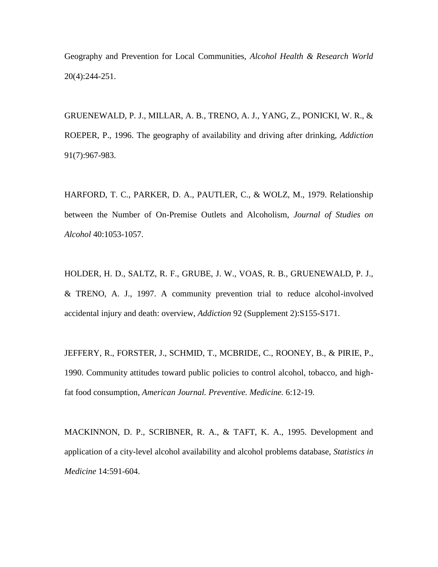Geography and Prevention for Local Communities, *Alcohol Health & Research World* 20(4):244-251.

GRUENEWALD, P. J., MILLAR, A. B., TRENO, A. J., YANG, Z., PONICKI, W. R., & ROEPER, P., 1996. The geography of availability and driving after drinking, *Addiction*  91(7):967-983.

HARFORD, T. C., PARKER, D. A., PAUTLER, C., & WOLZ, M., 1979. Relationship between the Number of On-Premise Outlets and Alcoholism, *Journal of Studies on Alcohol* 40:1053-1057.

HOLDER, H. D., SALTZ, R. F., GRUBE, J. W., VOAS, R. B., GRUENEWALD, P. J., & TRENO, A. J., 1997. A community prevention trial to reduce alcohol-involved accidental injury and death: overview, *Addiction* 92 (Supplement 2):S155-S171.

JEFFERY, R., FORSTER, J., SCHMID, T., MCBRIDE, C., ROONEY, B., & PIRIE, P., 1990. Community attitudes toward public policies to control alcohol, tobacco, and highfat food consumption, *American Journal. Preventive. Medicine.* 6:12-19.

MACKINNON, D. P., SCRIBNER, R. A., & TAFT, K. A., 1995. Development and application of a city-level alcohol availability and alcohol problems database, *Statistics in Medicine* 14:591-604.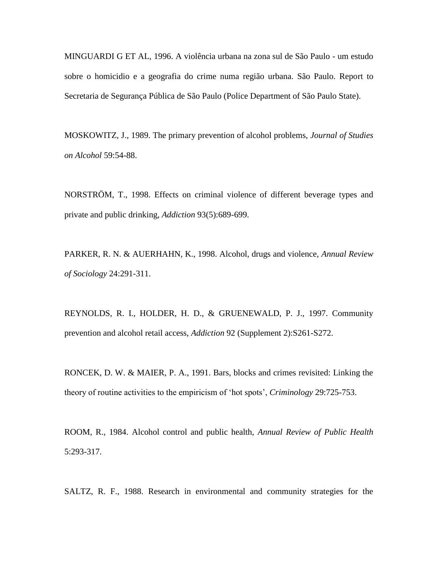MINGUARDI G ET AL, 1996. A violência urbana na zona sul de São Paulo - um estudo sobre o homicidio e a geografia do crime numa região urbana. São Paulo. Report to Secretaria de Segurança Pública de São Paulo (Police Department of São Paulo State).

MOSKOWITZ, J., 1989. The primary prevention of alcohol problems, *Journal of Studies on Alcohol* 59:54-88.

NORSTRÖM, T., 1998. Effects on criminal violence of different beverage types and private and public drinking, *Addiction* 93(5):689-699.

PARKER, R. N. & AUERHAHN, K., 1998. Alcohol, drugs and violence, *Annual Review of Sociology* 24:291-311.

REYNOLDS, R. I., HOLDER, H. D., & GRUENEWALD, P. J., 1997. Community prevention and alcohol retail access, *Addiction* 92 (Supplement 2):S261-S272.

RONCEK, D. W. & MAIER, P. A., 1991. Bars, blocks and crimes revisited: Linking the theory of routine activities to the empiricism of 'hot spots', *Criminology* 29:725-753.

ROOM, R., 1984. Alcohol control and public health, *Annual Review of Public Health* 5:293-317.

SALTZ, R. F., 1988. Research in environmental and community strategies for the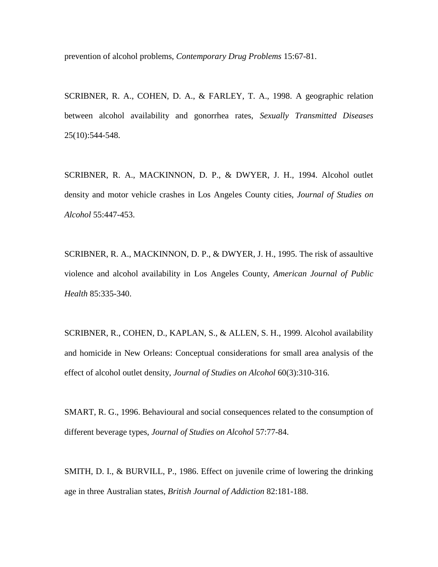prevention of alcohol problems, *Contemporary Drug Problems* 15:67-81.

SCRIBNER, R. A., COHEN, D. A., & FARLEY, T. A., 1998. A geographic relation between alcohol availability and gonorrhea rates, *Sexually Transmitted Diseases* 25(10):544-548.

SCRIBNER, R. A., MACKINNON, D. P., & DWYER, J. H., 1994. Alcohol outlet density and motor vehicle crashes in Los Angeles County cities, *Journal of Studies on Alcohol* 55:447-453.

SCRIBNER, R. A., MACKINNON, D. P., & DWYER, J. H., 1995. The risk of assaultive violence and alcohol availability in Los Angeles County, *American Journal of Public Health* 85:335-340.

SCRIBNER, R., COHEN, D., KAPLAN, S., & ALLEN, S. H., 1999. Alcohol availability and homicide in New Orleans: Conceptual considerations for small area analysis of the effect of alcohol outlet density, *Journal of Studies on Alcohol* 60(3):310-316.

SMART, R. G., 1996. Behavioural and social consequences related to the consumption of different beverage types, *Journal of Studies on Alcohol* 57:77-84.

SMITH, D. I., & BURVILL, P., 1986. Effect on juvenile crime of lowering the drinking age in three Australian states, *British Journal of Addiction* 82:181-188.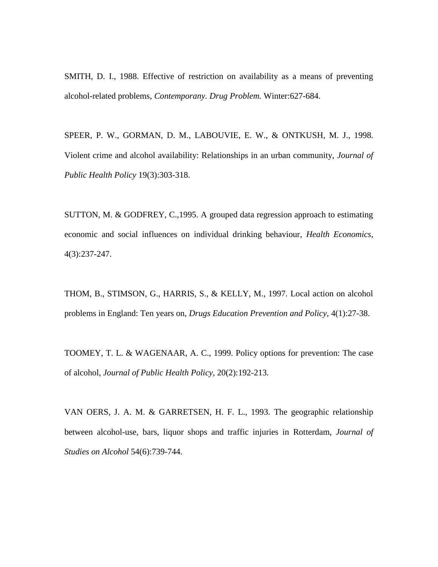SMITH, D. I., 1988. Effective of restriction on availability as a means of preventing alcohol-related problems, *Contemporany. Drug Problem.* Winter:627-684.

SPEER, P. W., GORMAN, D. M., LABOUVIE, E. W., & ONTKUSH, M. J., 1998. Violent crime and alcohol availability: Relationships in an urban community, *Journal of Public Health Policy* 19(3):303-318.

SUTTON, M. & GODFREY, C.,1995. A grouped data regression approach to estimating economic and social influences on individual drinking behaviour, *Health Economics,*  4(3):237-247.

THOM, B., STIMSON, G., HARRIS, S., & KELLY, M., 1997. Local action on alcohol problems in England: Ten years on, *Drugs Education Prevention and Policy,* 4(1):27-38.

TOOMEY, T. L. & WAGENAAR, A. C., 1999. Policy options for prevention: The case of alcohol, *Journal of Public Health Policy,* 20(2):192-213.

VAN OERS, J. A. M. & GARRETSEN, H. F. L., 1993. The geographic relationship between alcohol-use, bars, liquor shops and traffic injuries in Rotterdam, *Journal of Studies on Alcohol* 54(6):739-744.